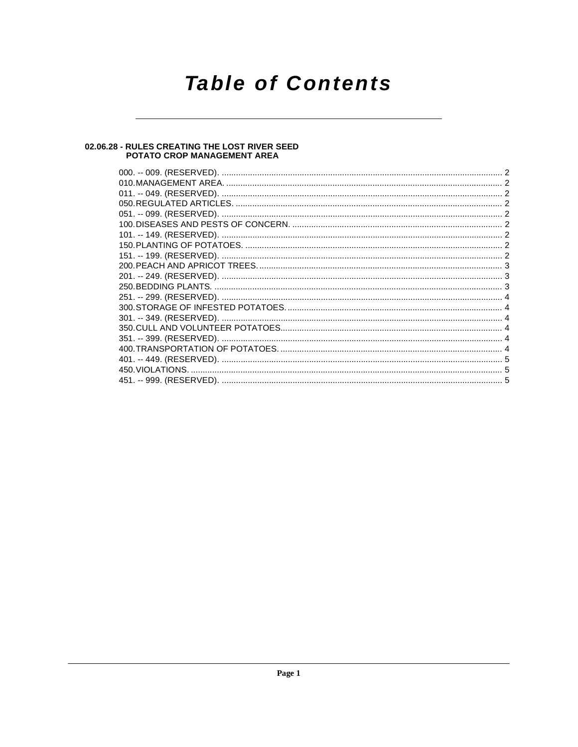# **Table of Contents**

## 02.06.28 - RULES CREATING THE LOST RIVER SEED<br>POTATO CROP MANAGEMENT AREA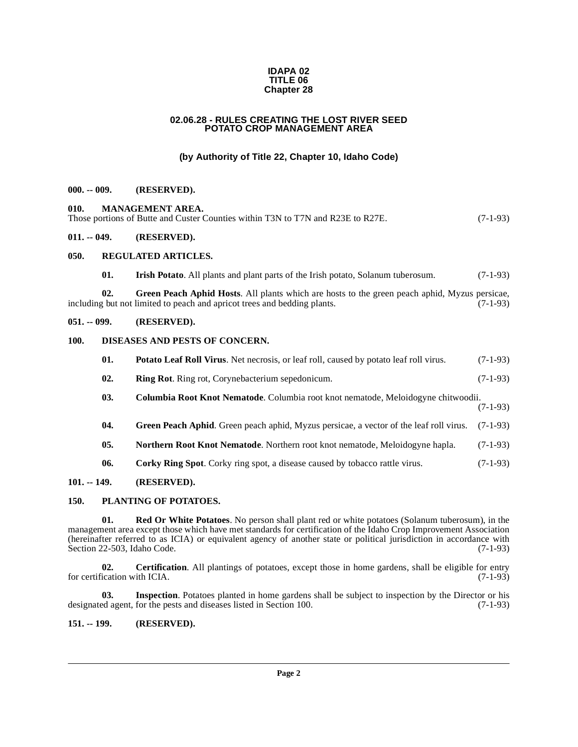#### **IDAPA 02 TITLE 06 Chapter 28**

#### **02.06.28 - RULES CREATING THE LOST RIVER SEED POTATO CROP MANAGEMENT AREA**

#### **(by Authority of Title 22, Chapter 10, Idaho Code)**

#### <span id="page-1-18"></span><span id="page-1-1"></span><span id="page-1-0"></span>**000. -- 009. (RESERVED).**

<span id="page-1-2"></span>**010. MANAGEMENT AREA.**  Those portions of Butte and Custer Counties within T3N to T7N and R23E to R27E. (7-1-93)

(7-1-93)

#### <span id="page-1-3"></span>**011. -- 049. (RESERVED).**

#### <span id="page-1-4"></span>**050. REGULATED ARTICLES.**

<span id="page-1-23"></span><span id="page-1-17"></span><span id="page-1-15"></span>**01. Irish Potato**. All plants and plant parts of the Irish potato, Solanum tuberosum. (7-1-93)

**02. Green Peach Aphid Hosts**. All plants which are hosts to the green peach aphid, Myzus persicae, including but not limited to peach and apricot trees and bedding plants. (7-1-93)

#### <span id="page-1-5"></span>**051. -- 099. (RESERVED).**

#### <span id="page-1-6"></span>**100. DISEASES AND PESTS OF CONCERN.**

<span id="page-1-24"></span><span id="page-1-21"></span><span id="page-1-13"></span>

| 01. | <b>Potato Leaf Roll Virus.</b> Net necrosis, or leaf roll, caused by potato leaf roll virus. | $(7-1-93)$ |
|-----|----------------------------------------------------------------------------------------------|------------|
| 02. | <b>Ring Rot.</b> Ring rot, Corynebacterium sepedonicum.                                      | $(7-1-93)$ |

- <span id="page-1-11"></span>**03. Columbia Root Knot Nematode**. Columbia root knot nematode, Meloidogyne chitwoodii.
- <span id="page-1-14"></span>**04.** Green Peach Aphid. Green peach aphid, Myzus persicae, a vector of the leaf roll virus. (7-1-93)
- <span id="page-1-19"></span><span id="page-1-12"></span>**05. Northern Root Knot Nematode**. Northern root knot nematode, Meloidogyne hapla. (7-1-93)
- <span id="page-1-22"></span><span id="page-1-20"></span>**06. Corky Ring Spot**. Corky ring spot, a disease caused by tobacco rattle virus. (7-1-93)

#### <span id="page-1-7"></span>**101. -- 149. (RESERVED).**

#### <span id="page-1-8"></span>**150. PLANTING OF POTATOES.**

**01. Red Or White Potatoes**. No person shall plant red or white potatoes (Solanum tuberosum), in the management area except those which have met standards for certification of the Idaho Crop Improvement Association (hereinafter referred to as ICIA) or equivalent agency of another state or political jurisdiction in accordance with Section 22-503, Idaho Code. (7-1-93)

<span id="page-1-10"></span>**02. Certification**. All plantings of potatoes, except those in home gardens, shall be eligible for entry for certification with ICIA. (7-1-93)

<span id="page-1-16"></span>**03.** Inspection. Potatoes planted in home gardens shall be subject to inspection by the Director or his designated agent, for the pests and diseases listed in Section 100. (7-1-93)

#### <span id="page-1-9"></span>**151. -- 199. (RESERVED).**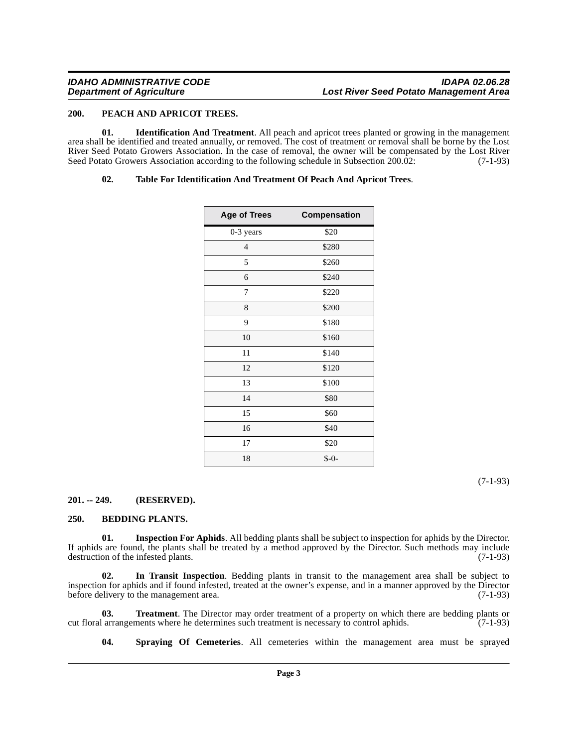#### <span id="page-2-7"></span><span id="page-2-0"></span>**200. PEACH AND APRICOT TREES.**

**01. Identification And Treatment**. All peach and apricot trees planted or growing in the management area shall be identified and treated annually, or removed. The cost of treatment or removal shall be borne by the Lost River Seed Potato Growers Association. In the case of removal, the owner will be compensated by the Lost River Seed Potato Growers Association according to the following schedule in Subsection 200.02: (7-1-93)

#### <span id="page-2-9"></span><span id="page-2-4"></span>**02. Table For Identification And Treatment Of Peach And Apricot Trees**.

| <b>Age of Trees</b> | Compensation |
|---------------------|--------------|
| 0-3 years           | \$20         |
| $\overline{4}$      | \$280        |
| 5                   | \$260        |
| 6                   | \$240        |
| 7                   | \$220        |
| 8                   | \$200        |
| 9                   | \$180        |
| 10                  | \$160        |
| 11                  | \$140        |
| 12                  | \$120        |
| 13                  | \$100        |
| 14                  | \$80         |
| 15                  | \$60         |
| 16                  | \$40         |
| 17                  | \$20         |
| 18                  | $$ -0-$      |

(7-1-93)

#### <span id="page-2-1"></span>**201. -- 249. (RESERVED).**

#### <span id="page-2-3"></span><span id="page-2-2"></span>**250. BEDDING PLANTS.**

<span id="page-2-6"></span>**01. Inspection For Aphids**. All bedding plants shall be subject to inspection for aphids by the Director. If aphids are found, the plants shall be treated by a method approved by the Director. Such methods may include destruction of the infested plants. (7-1-93)

<span id="page-2-5"></span>**02. In Transit Inspection**. Bedding plants in transit to the management area shall be subject to inspection for aphids and if found infested, treated at the owner's expense, and in a manner approved by the Director before delivery to the management area. (7-1-93)

**03. Treatment**. The Director may order treatment of a property on which there are bedding plants or larrangements where he determines such treatment is necessary to control aphids. (7-1-93) cut floral arrangements where he determines such treatment is necessary to control aphids.

<span id="page-2-10"></span><span id="page-2-8"></span>**04. Spraying Of Cemeteries**. All cemeteries within the management area must be sprayed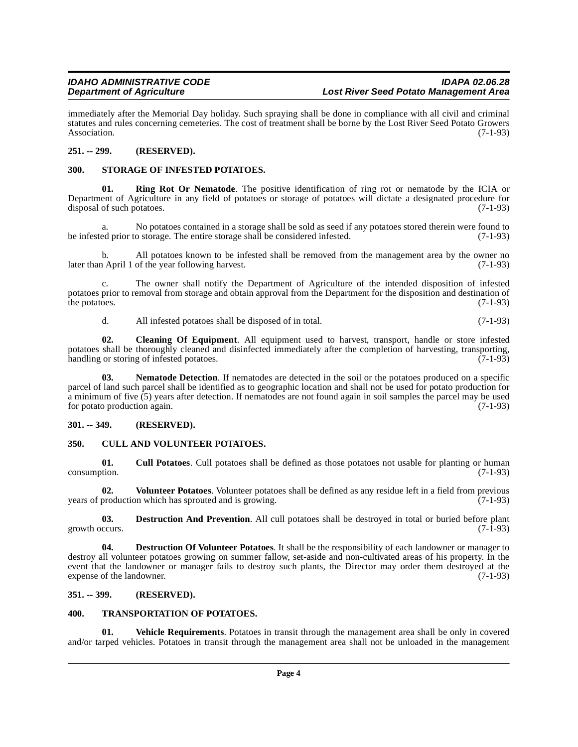immediately after the Memorial Day holiday. Such spraying shall be done in compliance with all civil and criminal statutes and rules concerning cemeteries. The cost of treatment shall be borne by the Lost River Seed Potato Growers<br>(7-1-93) Association. (7-1-93)

#### <span id="page-3-0"></span>**251. -- 299. (RESERVED).**

#### <span id="page-3-13"></span><span id="page-3-1"></span>**300. STORAGE OF INFESTED POTATOES.**

<span id="page-3-12"></span>**01. Ring Rot Or Nematode**. The positive identification of ring rot or nematode by the ICIA or Department of Agriculture in any field of potatoes or storage of potatoes will dictate a designated procedure for disposal of such potatoes. (7-1-93)

a. No potatoes contained in a storage shall be sold as seed if any potatoes stored therein were found to be infested prior to storage. The entire storage shall be considered infested. (7-1-93)

b. All potatoes known to be infested shall be removed from the management area by the owner no a April 1 of the year following harvest. later than April 1 of the year following harvest.

c. The owner shall notify the Department of Agriculture of the intended disposition of infested potatoes prior to removal from storage and obtain approval from the Department for the disposition and destination of the potatoes. (7-1-93) the potatoes.  $(7-1-93)$ 

<span id="page-3-11"></span><span id="page-3-6"></span>d. All infested potatoes shall be disposed of in total. (7-1-93)

**02. Cleaning Of Equipment**. All equipment used to harvest, transport, handle or store infested potatoes shall be thoroughly cleaned and disinfected immediately after the completion of harvesting, transporting, handling or storing of infested potatoes. (7-1-93) handling or storing of infested potatoes.

**03.** Nematode Detection. If nematodes are detected in the soil or the potatoes produced on a specific parcel of land such parcel shall be identified as to geographic location and shall not be used for potato production for a minimum of five (5) years after detection. If nematodes are not found again in soil samples the parcel may be used for potato production again. (7-1-93)

#### <span id="page-3-2"></span>**301. -- 349. (RESERVED).**

#### <span id="page-3-7"></span><span id="page-3-3"></span>**350. CULL AND VOLUNTEER POTATOES.**

<span id="page-3-8"></span>**01. Cull Potatoes**. Cull potatoes shall be defined as those potatoes not usable for planting or human consumption. (7-1-93)

<span id="page-3-16"></span>**02.** Volunteer Potatoes. Volunteer potatoes shall be defined as any residue left in a field from previous production which has sprouted and is growing. years of production which has sprouted and is growing.

<span id="page-3-9"></span>**03. Destruction And Prevention**. All cull potatoes shall be destroyed in total or buried before plant (7-1-93) growth occurs.

<span id="page-3-10"></span>**04. Destruction Of Volunteer Potatoes**. It shall be the responsibility of each landowner or manager to destroy all volunteer potatoes growing on summer fallow, set-aside and non-cultivated areas of his property. In the event that the landowner or manager fails to destroy such plants, the Director may order them destroyed at the expense of the landowner. (7-1-93) expense of the landowner.

#### <span id="page-3-4"></span>**351. -- 399. (RESERVED).**

#### <span id="page-3-14"></span><span id="page-3-5"></span>**400. TRANSPORTATION OF POTATOES.**

<span id="page-3-15"></span>**01. Vehicle Requirements**. Potatoes in transit through the management area shall be only in covered and/or tarped vehicles. Potatoes in transit through the management area shall not be unloaded in the management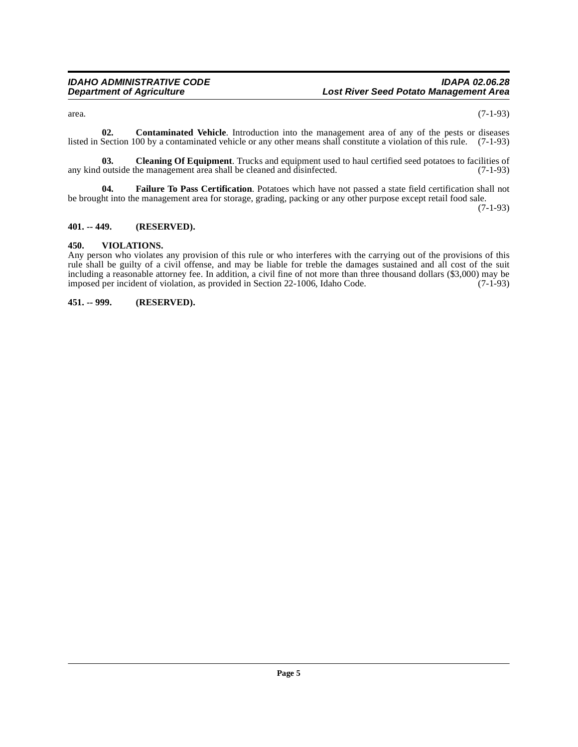<span id="page-4-4"></span>

 $\alpha$  area.  $(7-1-93)$ 

**02. Contaminated Vehicle**. Introduction into the management area of any of the pests or diseases listed in Section 100 by a contaminated vehicle or any other means shall constitute a violation of this rule. (7-1-93)

<span id="page-4-3"></span>**03.** Cleaning Of Equipment. Trucks and equipment used to haul certified seed potatoes to facilities of outside the management area shall be cleaned and disinfected. (7-1-93) any kind outside the management area shall be cleaned and disinfected.

<span id="page-4-5"></span>**04. Failure To Pass Certification**. Potatoes which have not passed a state field certification shall not be brought into the management area for storage, grading, packing or any other purpose except retail food sale.

(7-1-93)

#### <span id="page-4-0"></span>**401. -- 449. (RESERVED).**

#### <span id="page-4-6"></span><span id="page-4-1"></span>**450. VIOLATIONS.**

Any person who violates any provision of this rule or who interferes with the carrying out of the provisions of this rule shall be guilty of a civil offense, and may be liable for treble the damages sustained and all cost of the suit including a reasonable attorney fee. In addition, a civil fine of not more than three thousand dollars (\$3,000) may be imposed per incident of violation, as provided in Section 22-1006, Idaho Code. (7-1-93)

<span id="page-4-2"></span>**451. -- 999. (RESERVED).**